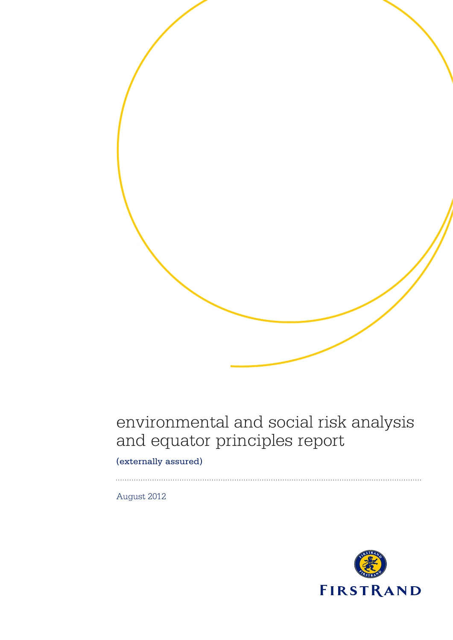# environmental and social risk analysis and equator principles report

(externally assured)

August 2012

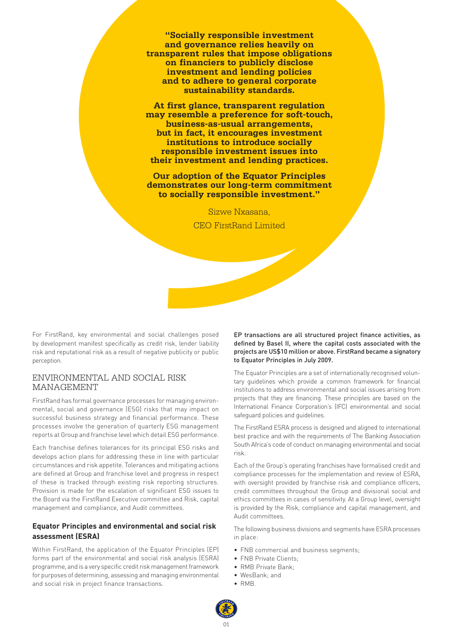**"Socially responsible investment and governance relies heavily on transparent rules that impose obligations on financiers to publicly disclose investment and lending policies and to adhere to general corporate sustainability standards.** 

**At first glance, transparent regulation may resemble a preference for soft-touch, business-as-usual arrangements, but in fact, it encourages investment institutions to introduce socially responsible investment issues into their investment and lending practices.**

**Our adoption of the Equator Principles demonstrates our long-term commitment to socially responsible investment."** 

> Sizwe Nxasana, CEO FirstRand Limited

For FirstRand, key environmental and social challenges posed by development manifest specifically as credit risk, lender liability risk and reputational risk as a result of negative publicity or public perception.

#### ENVIRONMENTAL AND SOCIAL RISK MANAGEMENT

FirstRand has formal governance processes for managing environmental, social and governance (ESG) risks that may impact on successful business strategy and financial performance. These processes involve the generation of quarterly ESG management reports at Group and franchise level which detail ESG performance.

Each franchise defines tolerances for its principal ESG risks and develops action plans for addressing these in line with particular circumstances and risk appetite. Tolerances and mitigating actions are defined at Group and franchise level and progress in respect of these is tracked through existing risk reporting structures. Provision is made for the escalation of significant ESG issues to the Board via the FirstRand Executive committee and Risk, capital management and compliance, and Audit committees.

# **Equator Principles and environmental and social risk assessment (ESRA)**

Within FirstRand, the application of the Equator Principles (EP) forms part of the environmental and social risk analysis (ESRA) programme, and is a very specific credit risk management framework for purposes of determining, assessing and managing environmental and social risk in project finance transactions.

EP transactions are all structured project finance activities, as defined by Basel II, where the capital costs associated with the projects are US\$10 million or above. FirstRand became a signatory to Equator Principles in July 2009.

The Equator Principles are a set of internationally recognised voluntary guidelines which provide a common framework for financial institutions to address environmental and social issues arising from projects that they are financing. These principles are based on the International Finance Corporation's (IFC) environmental and social safeguard policies and guidelines.

The FirstRand ESRA process is designed and aligned to international best practice and with the requirements of The Banking Association South Africa's code of conduct on managing environmental and social risk.

Each of the Group's operating franchises have formalised credit and compliance processes for the implementation and review of ESRA, with oversight provided by franchise risk and compliance officers, credit committees throughout the Group and divisional social and ethics committees in cases of sensitivity. At a Group level, oversight is provided by the Risk, compliance and capital management, and Audit committees.

The following business divisions and segments have ESRA processes in place:

- FNB commercial and business segments;
- FNB Private Clients;
- RMB Private Bank;
- WesBank; and
- RMB.

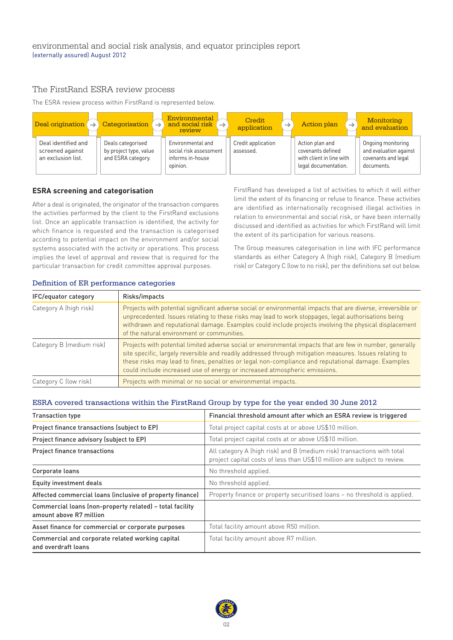# The FirstRand ESRA review process

The ESRA review process within FirstRand is represented below.



#### **ESRA screening and categorisation**

After a deal is originated, the originator of the transaction compares the activities performed by the client to the FirstRand exclusions list. Once an applicable transaction is identified, the activity for which finance is requested and the transaction is categorised according to potential impact on the environment and/or social systems associated with the activity or operations. This process implies the level of approval and review that is required for the particular transaction for credit committee approval purposes.

FirstRand has developed a list of activities to which it will either limit the extent of its financing or refuse to finance. These activities are identified as internationally recognised illegal activities in relation to environmental and social risk, or have been internally discussed and identified as activities for which FirstRand will limit the extent of its participation for various reasons.

The Group measures categorisation in line with IFC performance standards as either Category A (high risk), Category B (medium risk) or Category C (low to no risk), per the definitions set out below.

| IFC/equator category     | Risks/impacts                                                                                                                                                                                                                                                                                                                                                                                           |
|--------------------------|---------------------------------------------------------------------------------------------------------------------------------------------------------------------------------------------------------------------------------------------------------------------------------------------------------------------------------------------------------------------------------------------------------|
| Category A (high risk)   | Projects with potential significant adverse social or environmental impacts that are diverse, irreversible or<br>unprecedented. Issues relating to these risks may lead to work stoppages, legal authorisations being<br>withdrawn and reputational damage. Examples could include projects involving the physical displacement<br>of the natural environment or communities.                           |
| Category B (medium risk) | Projects with potential limited adverse social or environmental impacts that are few in number, generally<br>site specific, largely reversible and readily addressed through mitigation measures. Issues relating to<br>these risks may lead to fines, penalties or legal non-compliance and reputational damage. Examples<br>could include increased use of energy or increased atmospheric emissions. |
| Category C (low risk)    | Projects with minimal or no social or environmental impacts.                                                                                                                                                                                                                                                                                                                                            |

#### Definition of ER performance categories

# ESRA covered transactions within the FirstRand Group by type for the year ended 30 June 2012

| <b>Transaction type</b>                                                             | Financial threshold amount after which an ESRA review is triggered                                                                                 |  |  |  |
|-------------------------------------------------------------------------------------|----------------------------------------------------------------------------------------------------------------------------------------------------|--|--|--|
| Project finance transactions (subject to EP)                                        | Total project capital costs at or above US\$10 million.                                                                                            |  |  |  |
| Project finance advisory (subject to EP)                                            | Total project capital costs at or above US\$10 million.                                                                                            |  |  |  |
| <b>Project finance transactions</b>                                                 | All category A (high risk) and B (medium risk) transactions with total<br>project capital costs of less than US\$10 million are subject to review. |  |  |  |
| Corporate loans                                                                     | No threshold applied.                                                                                                                              |  |  |  |
| Equity investment deals                                                             | No threshold applied.                                                                                                                              |  |  |  |
| Affected commercial loans (inclusive of property finance)                           | Property finance or property securitised loans - no threshold is applied.                                                                          |  |  |  |
| Commercial loans (non-property related) - total facility<br>amount above R7 million |                                                                                                                                                    |  |  |  |
| Asset finance for commercial or corporate purposes                                  | Total facility amount above R50 million.                                                                                                           |  |  |  |
| Commercial and corporate related working capital<br>and overdraft loans             | Total facility amount above R7 million.                                                                                                            |  |  |  |

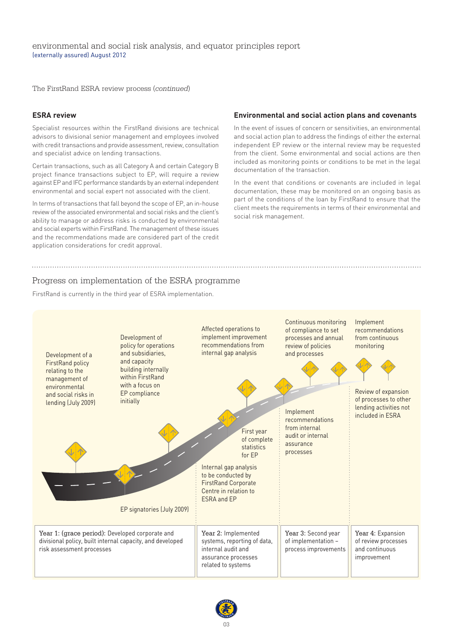The FirstRand ESRA review process (*continued*)

#### **ESRA review**

Specialist resources within the FirstRand divisions are technical advisors to divisional senior management and employees involved with credit transactions and provide assessment, review, consultation and specialist advice on lending transactions.

Certain transactions, such as all Category A and certain Category B project finance transactions subject to EP, will require a review against EP and IFC performance standards by an external independent environmental and social expert not associated with the client.

In terms of transactions that fall beyond the scope of EP, an in-house review of the associated environmental and social risks and the client's ability to manage or address risks is conducted by environmental and social experts within FirstRand. The management of these issues and the recommendations made are considered part of the credit application considerations for credit approval.

#### **Environmental and social action plans and covenants**

In the event of issues of concern or sensitivities, an environmental and social action plan to address the findings of either the external independent EP review or the internal review may be requested from the client. Some environmental and social actions are then included as monitoring points or conditions to be met in the legal documentation of the transaction.

In the event that conditions or covenants are included in legal documentation, these may be monitored on an ongoing basis as part of the conditions of the loan by FirstRand to ensure that the client meets the requirements in terms of their environmental and social risk management.

#### Progress on implementation of the ESRA programme

FirstRand is currently in the third year of ESRA implementation.



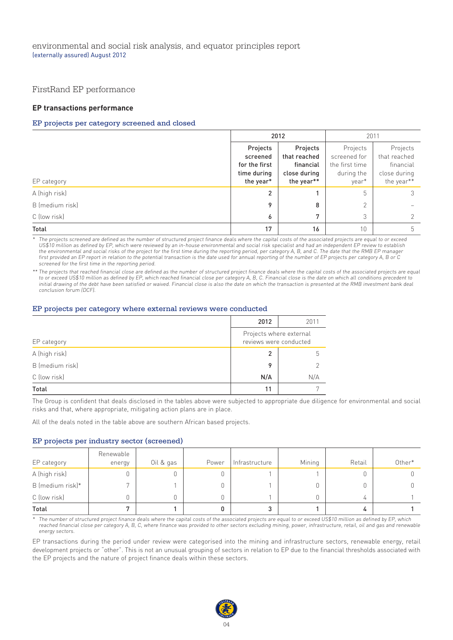## FirstRand EP performance

#### **EP transactions performance**

#### EP projects per category screened and closed

|                 | 2012           |              | 2011           |              |
|-----------------|----------------|--------------|----------------|--------------|
|                 | Projects       | Projects     | Projects       | Projects     |
|                 | screened       | that reached | screened for   | that reached |
|                 | for the first  | financial    | the first time | financial    |
|                 | time during    | close during | during the     | close during |
| EP category     | the year*      | the year**   | year*          | the year**   |
| A (high risk)   | $\overline{2}$ |              | 5              |              |
| B (medium risk) | 9              | 8            | $\overline{2}$ |              |
| C (low risk)    | 6              | 7            | 3              |              |
| Total           | 17             | 16           | 10             |              |

The projects screened are defined as the number of structured project finance deals where the capital costs of the associated projects are equal to or exceed US\$10 million as defined by EP, which were reviewed by an in-house environmental and social risk specialist and had an independent EP review to establish the environmental and social risks of the project for the first time during the reporting period, per category A, B, and C. The date that the RMB EP manager first provided an EP report in relation to the potential transaction is the date used for annual reporting of the number of EP projects per category A, B or C screened for the first time in the reporting period.

\*\* The projects that reached financial close are defined as the number of structured project finance deals where the capital costs of the associated projects are equal to or exceed US\$10 million as defined by EP, which reached financial close per category A, B, C. Financial close is the date on which all conditions precedent to initial drawing of the debt have been satisfied or waived. Financial close is also the date on which the transaction is presented at the RMB investment bank deal conclusion forum (DCF).

#### EP projects per category where external reviews were conducted

|                 | 2012                                              | 2011 |  |
|-----------------|---------------------------------------------------|------|--|
| EP category     | Projects where external<br>reviews were conducted |      |  |
| A (high risk)   | 2                                                 | h    |  |
| B (medium risk) | $\circ$                                           |      |  |
| C (low risk)    | N/A                                               | N/A  |  |
| Total           | 11                                                |      |  |

The Group is confident that deals disclosed in the tables above were subjected to appropriate due diligence for environmental and social risks and that, where appropriate, mitigating action plans are in place.

All of the deals noted in the table above are southern African based projects.

#### EP projects per industry sector (screened)

| EP category      | Renewable<br>energy | Oil & gas | Power | Infrastructure | Mining | Retail | Other* |
|------------------|---------------------|-----------|-------|----------------|--------|--------|--------|
| A (high risk)    | 0                   |           |       |                |        | 0      |        |
| B (medium risk)* |                     |           |       |                |        | 0      |        |
| C (low risk)     | Ο                   |           |       |                |        | 4      |        |
| Total            |                     |           |       | 3              |        | 4      |        |

The number of structured project finance deals where the capital costs of the associated projects are equal to or exceed US\$10 million as defined by EP, which reached financial close per category A, B, C, where finance was provided to other sectors excluding mining, power, infrastructure, retail, oil and gas and renewable energy sectors.

EP transactions during the period under review were categorised into the mining and infrastructure sectors, renewable energy, retail development projects or "other". This is not an unusual grouping of sectors in relation to EP due to the financial thresholds associated with the EP projects and the nature of project finance deals within these sectors.

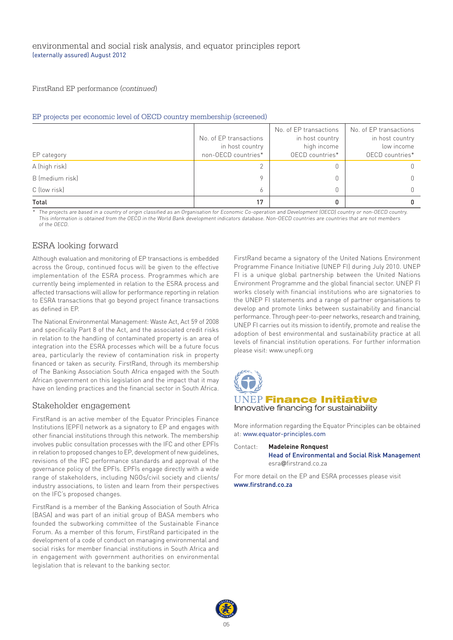#### FirstRand EP performance (*continued*)

#### EP projects per economic level of OECD country membership (screened)

|                 |                                           | No. of EP transactions         | No. of EP transactions        |
|-----------------|-------------------------------------------|--------------------------------|-------------------------------|
|                 | No. of EP transactions<br>in host country | in host country<br>high income | in host country<br>low income |
| EP category     | non-OECD countries*                       | OECD countries*                | OECD countries*               |
| A (high risk)   | 2                                         |                                |                               |
| B (medium risk) | $\mathsf Q$                               |                                |                               |
| C (low risk)    | 6                                         |                                |                               |
| Total           | 17                                        |                                |                               |

\* The projects are based in a country of origin classified as an Organisation for Economic Co-operation and Development (OECD) country or non-OECD country.<br>This information is obtained from the OECD in the World Bank devel of the OECD.

#### ESRA looking forward

Although evaluation and monitoring of EP transactions is embedded across the Group, continued focus will be given to the effective implementation of the ESRA process. Programmes which are currently being implemented in relation to the ESRA process and affected transactions will allow for performance reporting in relation to ESRA transactions that go beyond project finance transactions as defined in EP.

The National Environmental Management: Waste Act, Act 59 of 2008 and specifically Part 8 of the Act, and the associated credit risks in relation to the handling of contaminated property is an area of integration into the ESRA processes which will be a future focus area, particularly the review of contamination risk in property financed or taken as security. FirstRand, through its membership of The Banking Association South Africa engaged with the South African government on this legislation and the impact that it may have on lending practices and the financial sector in South Africa.

#### Stakeholder engagement

FirstRand is an active member of the Equator Principles Finance Institutions (EPFI) network as a signatory to EP and engages with other financial institutions through this network. The membership involves public consultation processes with the IFC and other EPFIs in relation to proposed changes to EP, development of new guidelines, revisions of the IFC performance standards and approval of the governance policy of the EPFIs. EPFIs engage directly with a wide range of stakeholders, including NGOs/civil society and clients/ industry associations, to listen and learn from their perspectives on the IFC's proposed changes.

FirstRand is a member of the Banking Association of South Africa (BASA) and was part of an initial group of BASA members who founded the subworking committee of the Sustainable Finance Forum. As a member of this forum, FirstRand participated in the development of a code of conduct on managing environmental and social risks for member financial institutions in South Africa and in engagement with government authorities on environmental legislation that is relevant to the banking sector.

FirstRand became a signatory of the United Nations Environment Programme Finance Initiative (UNEP FI) during July 2010. UNEP FI is a unique global partnership between the United Nations Environment Programme and the global financial sector. UNEP FI works closely with financial institutions who are signatories to the UNEP FI statements and a range of partner organisations to develop and promote links between sustainability and financial performance. Through peer-to-peer networks, research and training, UNEP FI carries out its mission to identify, promote and realise the adoption of best environmental and sustainability practice at all levels of financial institution operations. For further information please visit: www.unepfi.org



More information regarding the Equator Principles can be obtained at: www.equator-principles.com

Contact: **Madeleine Ronquest** Head of Environmental and Social Risk Management esra@firstrand.co.za

For more detail on the EP and ESRA processes please visit www.firstrand.co.za

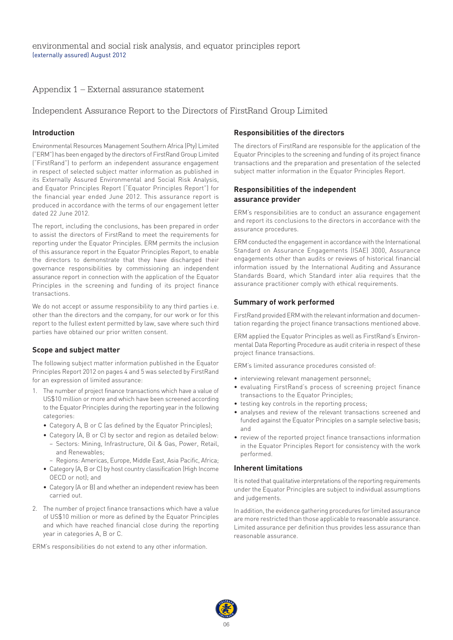## Appendix 1 – External assurance statement

# Independent Assurance Report to the Directors of FirstRand Group Limited

#### **Introduction**

Environmental Resources Management Southern Africa (Pty) Limited ("ERM") has been engaged by the directors of FirstRand Group Limited ("FirstRand") to perform an independent assurance engagement in respect of selected subject matter information as published in its Externally Assured Environmental and Social Risk Analysis, and Equator Principles Report ("Equator Principles Report") for the financial year ended June 2012. This assurance report is produced in accordance with the terms of our engagement letter dated 22 June 2012.

The report, including the conclusions, has been prepared in order to assist the directors of FirstRand to meet the requirements for reporting under the Equator Principles. ERM permits the inclusion of this assurance report in the Equator Principles Report, to enable the directors to demonstrate that they have discharged their governance responsibilities by commissioning an independent assurance report in connection with the application of the Equator Principles in the screening and funding of its project finance transactions.

We do not accept or assume responsibility to any third parties i.e. other than the directors and the company, for our work or for this report to the fullest extent permitted by law, save where such third parties have obtained our prior written consent.

#### **Scope and subject matter**

The following subject matter information published in the Equator Principles Report 2012 on pages 4 and 5 was selected by FirstRand for an expression of limited assurance:

- 1. The number of project finance transactions which have a value of US\$10 million or more and which have been screened according to the Equator Principles during the reporting year in the following categories:
	- Category A, B or C (as defined by the Equator Principles);
	- Category (A, B or C) by sector and region as detailed below: – Sectors: Mining, Infrastructure, Oil & Gas, Power, Retail, and Renewables;
		- Regions: Americas, Europe, Middle East, Asia Pacific, Africa;
	- Category (A, B or C) by host country classification (High Income
	- OECD or not); and • Category (A or B) and whether an independent review has been
	- carried out.
- 2. The number of project finance transactions which have a value of US\$10 million or more as defined by the Equator Principles and which have reached financial close during the reporting year in categories A, B or C.

ERM's responsibilities do not extend to any other information.

#### **Responsibilities of the directors**

The directors of FirstRand are responsible for the application of the Equator Principles to the screening and funding of its project finance transactions and the preparation and presentation of the selected subject matter information in the Equator Principles Report.

#### **Responsibilities of the independent assurance provider**

ERM's responsibilities are to conduct an assurance engagement and report its conclusions to the directors in accordance with the assurance procedures.

ERM conducted the engagement in accordance with the International Standard on Assurance Engagements (ISAE) 3000, Assurance engagements other than audits or reviews of historical financial information issued by the International Auditing and Assurance Standards Board, which Standard inter alia requires that the assurance practitioner comply with ethical requirements.

#### **Summary of work performed**

FirstRand provided ERM with the relevant information and documentation regarding the project finance transactions mentioned above.

ERM applied the Equator Principles as well as FirstRand's Environmental Data Reporting Procedure as audit criteria in respect of these project finance transactions.

ERM's limited assurance procedures consisted of:

- interviewing relevant management personnel;
- evaluating FirstRand's process of screening project finance transactions to the Equator Principles;
- testing key controls in the reporting process;
- analyses and review of the relevant transactions screened and funded against the Equator Principles on a sample selective basis; and
- review of the reported project finance transactions information in the Equator Principles Report for consistency with the work performed.

#### **Inherent limitations**

It is noted that qualitative interpretations of the reporting requirements under the Equator Principles are subject to individual assumptions and judgements.

In addition, the evidence gathering procedures for limited assurance are more restricted than those applicable to reasonable assurance. Limited assurance per definition thus provides less assurance than reasonable assurance.